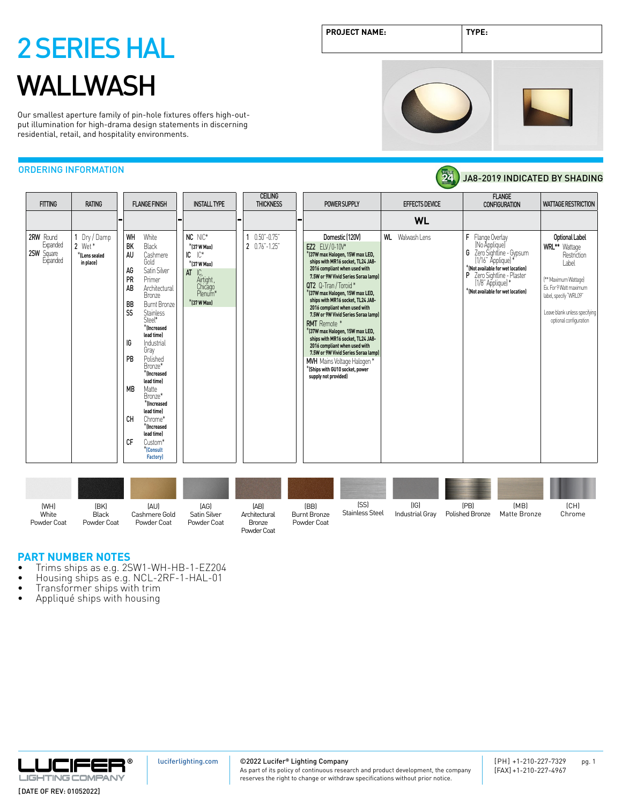Our smallest aperture family of pin-hole fixtures offers high-output illumination for high-drama design statements in discerning residential, retail, and hospitality environments.

## ORDERING INFORMATION

| <b>FITTING</b>                                  | <b>RATING</b>                                      | <b>FLANGE FINISH</b>                                                                                                                                                                                                                                                                                                                                                                                                                                                                             |                            | <b>INSTALL TYPE</b>                                                                                       |   | <b>CEILING</b><br><b>THICKNESS</b> | POWER SUPPLY                                                                                                                                                                                                                                                                                                                                                                                                                                                                                                                                                                                                               |    | <b>EFFECTS DEVICE</b> | <b>FLANGE</b><br><b>CONFIGURATION</b>                                                                                                                                                                              | <b>WATTAGE RESTRICTION</b>                                                                                                                                                                     |
|-------------------------------------------------|----------------------------------------------------|--------------------------------------------------------------------------------------------------------------------------------------------------------------------------------------------------------------------------------------------------------------------------------------------------------------------------------------------------------------------------------------------------------------------------------------------------------------------------------------------------|----------------------------|-----------------------------------------------------------------------------------------------------------|---|------------------------------------|----------------------------------------------------------------------------------------------------------------------------------------------------------------------------------------------------------------------------------------------------------------------------------------------------------------------------------------------------------------------------------------------------------------------------------------------------------------------------------------------------------------------------------------------------------------------------------------------------------------------------|----|-----------------------|--------------------------------------------------------------------------------------------------------------------------------------------------------------------------------------------------------------------|------------------------------------------------------------------------------------------------------------------------------------------------------------------------------------------------|
|                                                 |                                                    |                                                                                                                                                                                                                                                                                                                                                                                                                                                                                                  | ı —                        |                                                                                                           | - |                                    |                                                                                                                                                                                                                                                                                                                                                                                                                                                                                                                                                                                                                            |    | <b>WL</b>             |                                                                                                                                                                                                                    |                                                                                                                                                                                                |
| 2RW Round<br>Expanded<br>25W Square<br>Expanded | Dry / Damp<br>2 Wet*<br>*ILens sealed<br>in place) | WH<br>White<br>BK<br>Black<br>AU<br>Cashmere<br>Gold<br>AG<br>Satin Silver<br>PR<br>Primer<br>AB<br>Architectural<br>Bronze<br><b>BB</b><br><b>Burnt Bronze</b><br>SS<br><b>Stainless</b><br>Steel*<br>$*$ (Increased<br>lead time)<br>IG<br>Industrial<br>Gray<br>PB<br>Polished<br>Bronze*<br>$*$ flncreased<br>lead time)<br><b>MB</b><br>Matte<br>Bronze*<br>*Increased<br>lead time)<br><b>CH</b><br>Chrome*<br>$*$ flncreased<br>lead time)<br>CF<br>Custom*<br>*Consult<br><b>Factory</b> | $IC$ $IC^*$<br>$AT$ $IC$ , | NC NIC*<br>$*$ (37 W Max)<br>*(37 W Max)<br>Airtight,<br>Chicago<br>Plenum <sup>*</sup><br>$*$ [37 W Max] |   | $0.50 - 0.75$<br>2 0.76"-1.25"     | Domestic (120V)<br>EZ2 ELV/0-10V*<br>*(37W max Halogen, 15W max LED,<br>ships with MR16 socket, TL24 JA8-<br>2016 compliant when used with<br>7.5W or 9W Vivid Series Soraa lamp)<br>QT2 Q-Tran/Toroid*<br>*(37W max Halogen, 15W max LED,<br>ships with MR16 socket, TL24 JA8-<br>2016 compliant when used with<br>7.5W or 9W Vivid Series Soraa lamp)<br><b>RMT</b> Remote *<br>*(37W max Halogen, 15W max LED,<br>ships with MR16 socket, TL24 JA8-<br>2016 compliant when used with<br>7.5W or 9W Vivid Series Soraa lamp)<br>MVH Mains Voltage Halogen*<br>$*$ (Ships with GU10 socket, power<br>supply not provided) | WL | Walwash Lens          | F<br>Flange Overlay<br>(No Applique)<br>G Zero Sightline - Gypsum<br>[1/16" Applique]*<br>*(Not available for wet location)<br>P Zero Sightline - Plaster<br>[1/8" Applique]*<br>*(Not available for wet location) | Optional Label<br>WRL** Wattage<br>Restriction<br>Label<br>[** Maximum Wattage]<br>Fx. For 9 Watt maximum<br>label, specify 'WRL09"<br>Leave blank unless specifying<br>optional configuration |

| (WH)<br>White<br>Powder Coat | (BK)<br><b>Black</b><br>Powder Coat | (AU)<br>Cashmere Gold<br>Powder Coat | (AG)<br>Satin Silver<br>Powder Coat | (AB)<br>Architectural<br>Bronze<br>Powder Coat | (BB)<br><b>Burnt Bronze</b><br>Powder Coat | [SS]<br><b>Stainless Steel</b> | [IG]<br>Industrial Grav | (PB)<br>Polished Bronze | (MB)<br>Matte Bronze | [CH]<br>Chrome |
|------------------------------|-------------------------------------|--------------------------------------|-------------------------------------|------------------------------------------------|--------------------------------------------|--------------------------------|-------------------------|-------------------------|----------------------|----------------|

## **PART NUMBER NOTES**

- Trims ships as e.g. 2SW1-WH-HB-1-EZ204<br>• Housing ships as e.g. NCL-2RF-1-HAL-01<br>• Transformer ships with trim<br>• Appliqué ships with housing
- 
- 
- 



[luciferlighting.com](http://luciferlighting.com/)

©2022 Lucifer**®** Lighting Company

As part of its policy of continuous research and product development, the company reserves the right to change or withdraw specifications without prior notice.









24 JA8-2019 INDICATED BY SHADING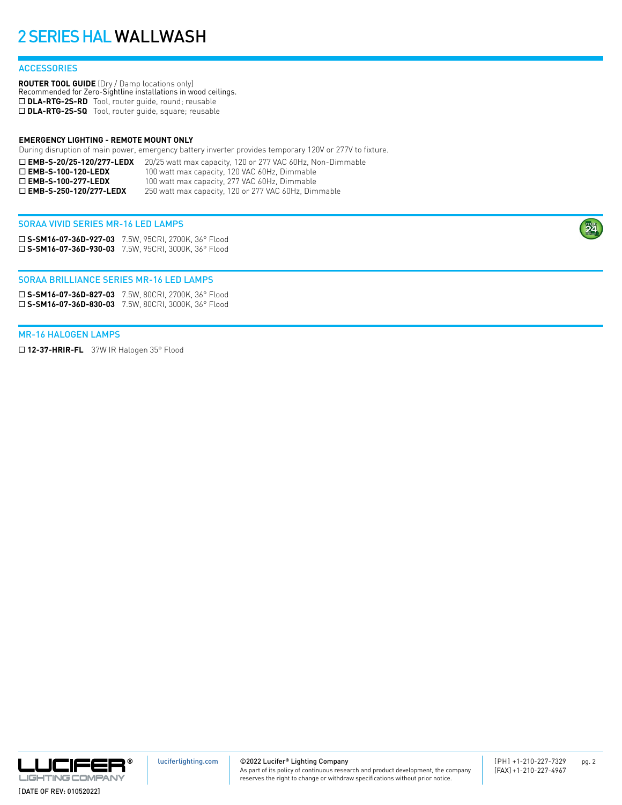### **ACCESSORIES**

**ROUTER TOOL GUIDE** (Dry / Damp locations only) Recommended for Zero-Sightline installations in wood ceilings. □ DLA-RTG-2S-RD Tool, router guide, round; reusable □ DLA-RTG-2S-SQ Tool, router guide, square; reusable

#### **EMERGENCY LIGHTING - REMOTE MOUNT ONLY**

During disruption of main power, emergency battery inverter provides temporary 120V or 277V to fixture.

| $\square$ EMB-S-20/25-120/277-LEDX | 20/25 watt max capacity, 120 or 277 VAC 60Hz, Non-Dimmable |
|------------------------------------|------------------------------------------------------------|
| $\Box$ EMB-S-100-120-LEDX          | 100 watt max capacity, 120 VAC 60Hz, Dimmable              |
| $\Box$ EMB-S-100-277-LEDX          | 100 watt max capacity, 277 VAC 60Hz, Dimmable              |
| $\Box$ EMB-S-250-120/277-LEDX      | 250 watt max capacity, 120 or 277 VAC 60Hz, Dimmable       |

### SORAA VIVID SERIES MR-16 LED LAMPS

¨ **S-SM16-07-36D-927-03** 7.5W, 95CRI, 2700K, 36° Flood ¨ **S-SM16-07-36D-930-03** 7.5W, 95CRI, 3000K, 36° Flood

#### SORAA BRILLIANCE SERIES MR-16 LED LAMPS

¨ **S-SM16-07-36D-827-03** 7.5W, 80CRI, 2700K, 36° Flood ¨ **S-SM16-07-36D-830-03** 7.5W, 80CRI, 3000K, 36° Flood

#### MR-16 HALOGEN LAMPS

□ 12-37-HRIR-FL 37W IR Halogen 35° Flood



©2022 Lucifer**®** Lighting Company

As part of its policy of continuous research and product development, the company reserves the right to change or withdraw specifications without prior notice.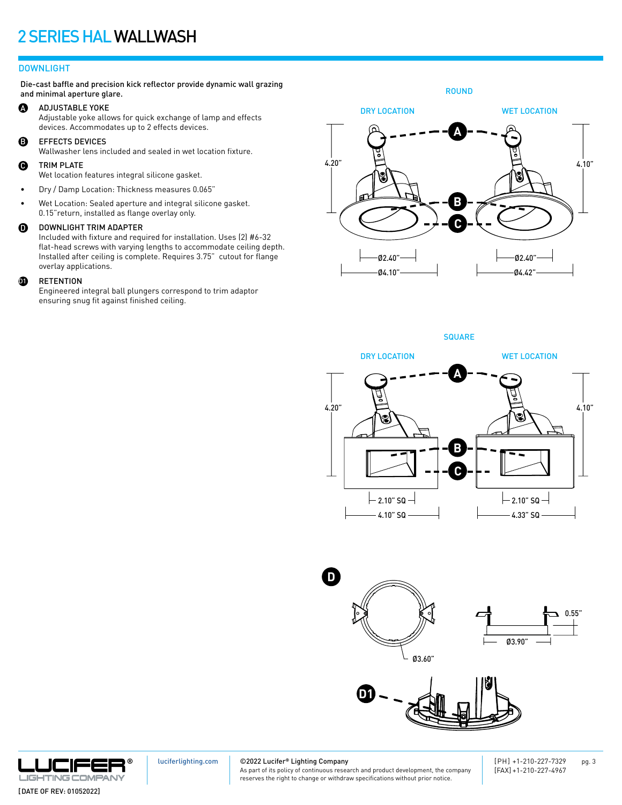### DOWNLIGHT

Die-cast baffle and precision kick reflector provide dynamic wall grazing and minimal aperture glare.

#### A ADJUSTABLE YOKE

Adjustable yoke allows for quick exchange of lamp and effects devices. Accommodates up to 2 effects devices.

B EFFECTS DEVICES

Wallwasher lens included and sealed in wet location fixture.

#### $\mathbf \Theta$ TRIM PLATE

Wet location features integral silicone gasket.

- Dry / Damp Location: Thickness measures 0.065"
- Wet Location: Sealed aperture and integral silicone gasket. 0.15"return, installed as flange overlay only.

#### $\boldsymbol{0}$ DOWNLIGHT TRIM ADAPTER

Included with fixture and required for installation. Uses (2) #6-32 flat-head screws with varying lengths to accommodate ceiling depth. Installed after ceiling is complete. Requires 3.75" cutout for flange overlay applications.

#### $\bf{0}$ RETENTION

Engineered integral ball plungers correspond to trim adaptor ensuring snug fit against finished ceiling.

ROUND WET LOCATION Ø4.10" DRY LOCATION **A B C**  $4.20"$   $\Box$   $4.10"$ Ø2.40" Ø4.42" Ø2.40"

**SQUARE** 











[luciferlighting.com](http://luciferlighting.com/)

©2022 Lucifer**®** Lighting Company

As part of its policy of continuous research and product development, the company reserves the right to change or withdraw specifications without prior notice.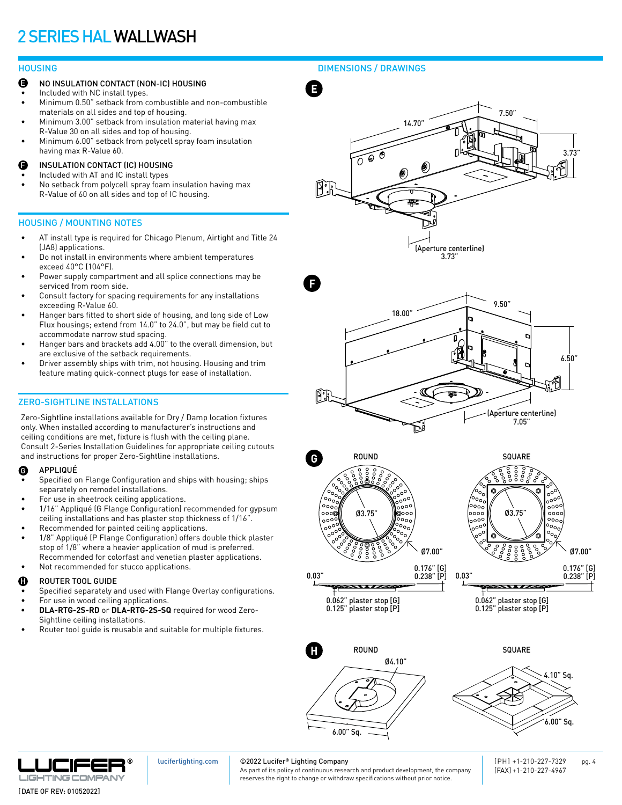- NO INSULATION CONTACT (NON-IC) HOUSING E
- Included with NC install types.
- Minimum 0.50" setback from combustible and non-combustible materials on all sides and top of housing.
- Minimum 3.00" setback from insulation material having max R-Value 30 on all sides and top of housing.
- Minimum 6.00" setback from polycell spray foam insulation having max R-Value 60.
- INSULATION CONTACT (IC) HOUSING F
- Included with AT and IC install types
- No setback from polycell spray foam insulation having max R-Value of 60 on all sides and top of IC housing.

### HOUSING / MOUNTING NOTES

- AT install type is required for Chicago Plenum, Airtight and Title 24 (JA8) applications.
- Do not install in environments where ambient temperatures exceed 40°C (104°F).
- Power supply compartment and all splice connections may be serviced from room side.
- Consult factory for spacing requirements for any installations exceeding R-Value 60.
- Hanger bars fitted to short side of housing, and long side of Low Flux housings; extend from 14.0" to 24.0", but may be field cut to accommodate narrow stud spacing.
- Hanger bars and brackets add 4.00" to the overall dimension, but are exclusive of the setback requirements.
- Driver assembly ships with trim, not housing. Housing and trim feature mating quick-connect plugs for ease of installation.

## ZERO-SIGHTLINE INSTALLATIONS

Zero-Sightline installations available for Dry / Damp location fixtures only. When installed according to manufacturer's instructions and ceiling conditions are met, fixture is flush with the ceiling plane. Consult 2-Series Installation Guidelines for appropriate ceiling cutouts and instructions for proper Zero-Sightline installations.

#### APPLIQUÉ G

- Specified on Flange Configuration and ships with housing; ships separately on remodel installations.
- For use in sheetrock ceiling applications.
- 1/16" Appliqué (G Flange Configuration) recommended for gypsum ceiling installations and has plaster stop thickness of 1/16".
- Recommended for painted ceiling applications.
- 1/8" Appliqué (P Flange Configuration) offers double thick plaster stop of 1/8" where a heavier application of mud is preferred. Recommended for colorfast and venetian plaster applications.
- Not recommended for stucco applications.

#### ROUTER TOOL GUIDE H

- Specified separately and used with Flange Overlay configurations.
- For use in wood ceiling applications. **• DLA-RTG-2S-RD** or **DLA-RTG-2S-SQ** required for wood Zero-Sightline ceiling installations.
- Router tool guide is reusable and suitable for multiple fixtures.

HOUSING DIMENSIONS / DRAWINGS









0.062" plaster stop [G] 0.125" plaster stop [P]



0.062" plaster stop [G] 0.125" plaster stop [P]

 $\overline{\phantom{a}}$ 





[luciferlighting.com](http://luciferlighting.com/)

### ©2022 Lucifer**®** Lighting Company

As part of its policy of continuous research and product development, the company reserves the right to change or withdraw specifications without prior notice.

[PH] +1-210-227-7329 pg. 4 [FAX] +1-210-227-4967